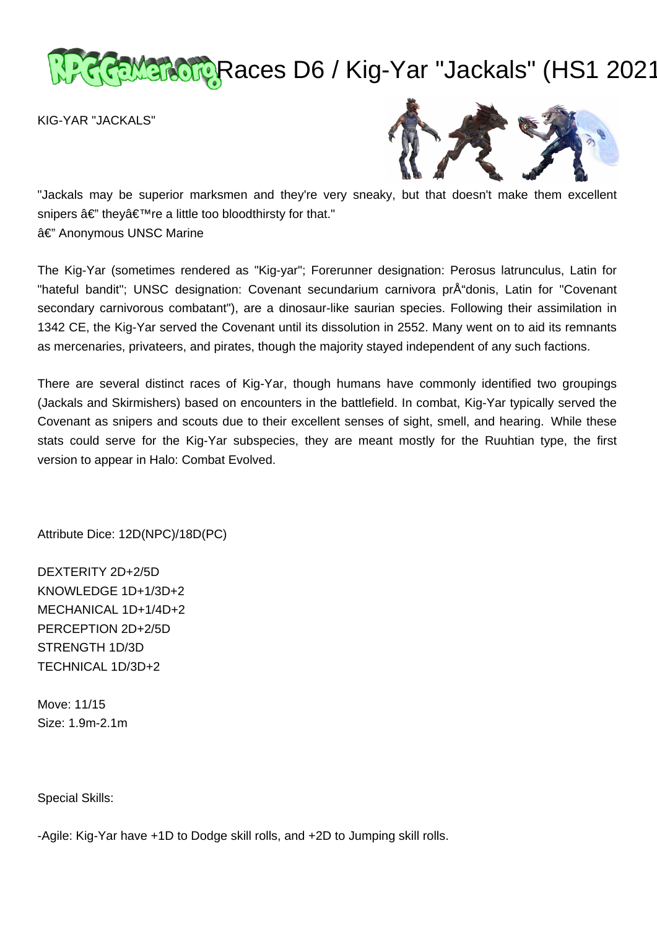# Ramaractic Races D6 / Kig-Yar "Jackals" (HS1 2021

KIG-YAR "JACKALS"



"Jackals may be superior marksmen and they're very sneaky, but that doesn't make them excellent snipers â€" they're a little too bloodthirsty for that." â€" Anonymous UNSC Marine

The Kig-Yar (sometimes rendered as "Kig-yar"; Forerunner designation: Perosus latrunculus, Latin for "hateful bandit"; UNSC designation: Covenant secundarium carnivora prÅ donis, Latin for "Covenant" secondary carnivorous combatant"), are a dinosaur-like saurian species. Following their assimilation in 1342 CE, the Kig-Yar served the Covenant until its dissolution in 2552. Many went on to aid its remnants as mercenaries, privateers, and pirates, though the majority stayed independent of any such factions.

There are several distinct races of Kig-Yar, though humans have commonly identified two groupings (Jackals and Skirmishers) based on encounters in the battlefield. In combat, Kig-Yar typically served the Covenant as snipers and scouts due to their excellent senses of sight, smell, and hearing. While these stats could serve for the Kig-Yar subspecies, they are meant mostly for the Ruuhtian type, the first version to appear in Halo: Combat Evolved.

Attribute Dice: 12D(NPC)/18D(PC)

DEXTERITY 2D+2/5D KNOWLEDGE 1D+1/3D+2 MECHANICAL 1D+1/4D+2 PERCEPTION 2D+2/5D STRENGTH 1D/3D TECHNICAL 1D/3D+2

Move: 11/15 Size: 1.9m-2.1m

Special Skills:

-Agile: Kig-Yar have +1D to Dodge skill rolls, and +2D to Jumping skill rolls.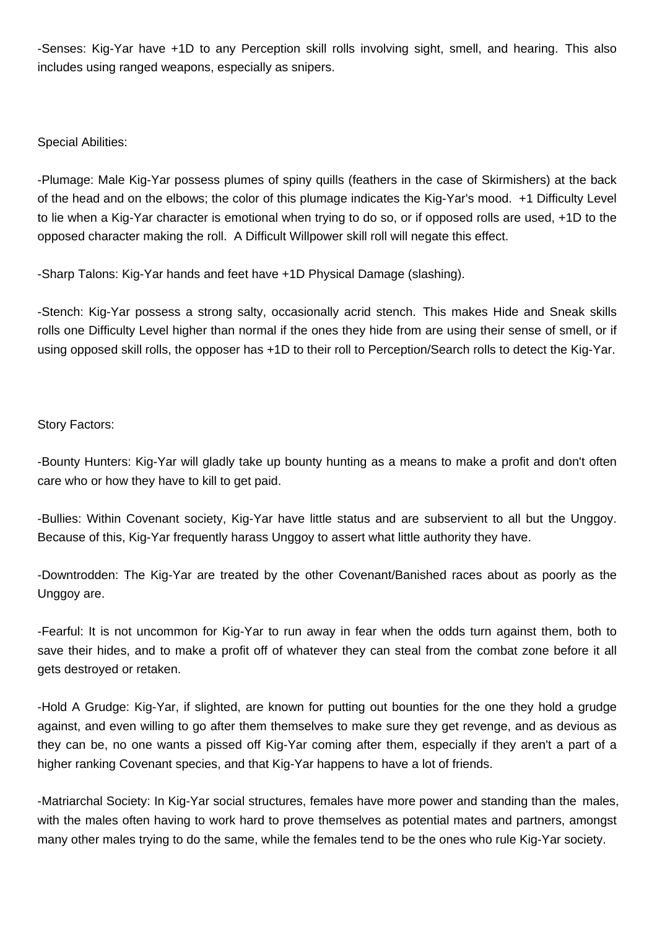-Senses: Kig-Yar have +1D to any Perception skill rolls involving sight, smell, and hearing. This also includes using ranged weapons, especially as snipers.

Special Abilities:

-Plumage: Male Kig-Yar possess plumes of spiny quills (feathers in the case of Skirmishers) at the back of the head and on the elbows; the color of this plumage indicates the Kig-Yar's mood. +1 Difficulty Level to lie when a Kig-Yar character is emotional when trying to do so, or if opposed rolls are used, +1D to the opposed character making the roll. A Difficult Willpower skill roll will negate this effect.

-Sharp Talons: Kig-Yar hands and feet have +1D Physical Damage (slashing).

-Stench: Kig-Yar possess a strong salty, occasionally acrid stench. This makes Hide and Sneak skills rolls one Difficulty Level higher than normal if the ones they hide from are using their sense of smell, or if using opposed skill rolls, the opposer has +1D to their roll to Perception/Search rolls to detect the Kig-Yar.

# Story Factors:

-Bounty Hunters: Kig-Yar will gladly take up bounty hunting as a means to make a profit and don't often care who or how they have to kill to get paid.

-Bullies: Within Covenant society, Kig-Yar have little status and are subservient to all but the Unggoy. Because of this, Kig-Yar frequently harass Unggoy to assert what little authority they have.

-Downtrodden: The Kig-Yar are treated by the other Covenant/Banished races about as poorly as the Unggoy are.

-Fearful: It is not uncommon for Kig-Yar to run away in fear when the odds turn against them, both to save their hides, and to make a profit off of whatever they can steal from the combat zone before it all gets destroyed or retaken.

-Hold A Grudge: Kig-Yar, if slighted, are known for putting out bounties for the one they hold a grudge against, and even willing to go after them themselves to make sure they get revenge, and as devious as they can be, no one wants a pissed off Kig-Yar coming after them, especially if they aren't a part of a higher ranking Covenant species, and that Kig-Yar happens to have a lot of friends.

-Matriarchal Society: In Kig-Yar social structures, females have more power and standing than the males, with the males often having to work hard to prove themselves as potential mates and partners, amongst many other males trying to do the same, while the females tend to be the ones who rule Kig-Yar society.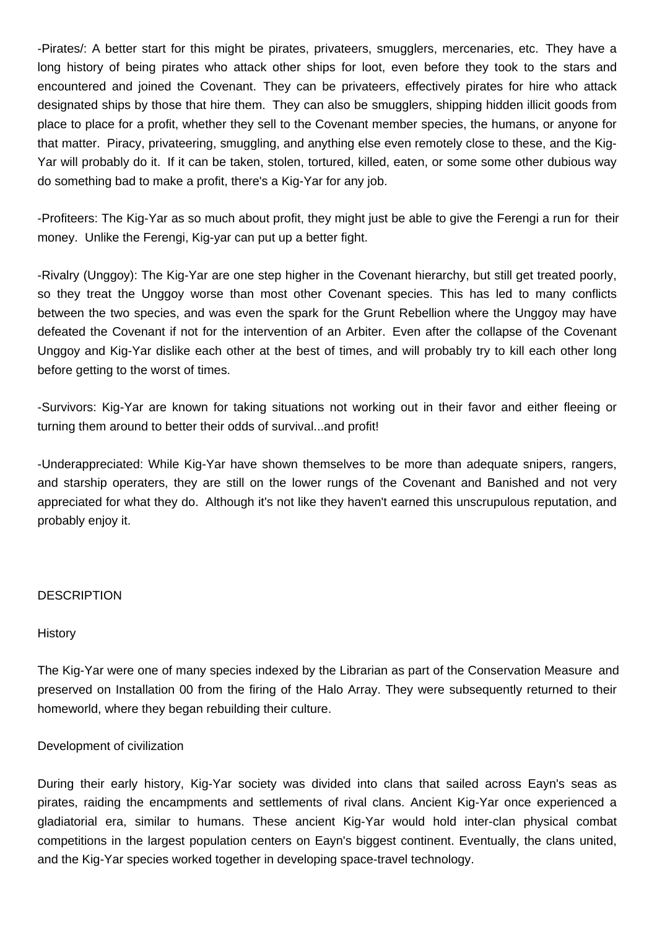-Pirates/: A better start for this might be pirates, privateers, smugglers, mercenaries, etc. They have a long history of being pirates who attack other ships for loot, even before they took to the stars and encountered and joined the Covenant. They can be privateers, effectively pirates for hire who attack designated ships by those that hire them. They can also be smugglers, shipping hidden illicit goods from place to place for a profit, whether they sell to the Covenant member species, the humans, or anyone for that matter. Piracy, privateering, smuggling, and anything else even remotely close to these, and the Kig-Yar will probably do it. If it can be taken, stolen, tortured, killed, eaten, or some some other dubious way do something bad to make a profit, there's a Kig-Yar for any job.

-Profiteers: The Kig-Yar as so much about profit, they might just be able to give the Ferengi a run for their money. Unlike the Ferengi, Kig-yar can put up a better fight.

-Rivalry (Unggoy): The Kig-Yar are one step higher in the Covenant hierarchy, but still get treated poorly, so they treat the Unggoy worse than most other Covenant species. This has led to many conflicts between the two species, and was even the spark for the Grunt Rebellion where the Unggoy may have defeated the Covenant if not for the intervention of an Arbiter. Even after the collapse of the Covenant Unggoy and Kig-Yar dislike each other at the best of times, and will probably try to kill each other long before getting to the worst of times.

-Survivors: Kig-Yar are known for taking situations not working out in their favor and either fleeing or turning them around to better their odds of survival...and profit!

-Underappreciated: While Kig-Yar have shown themselves to be more than adequate snipers, rangers, and starship operaters, they are still on the lower rungs of the Covenant and Banished and not very appreciated for what they do. Although it's not like they haven't earned this unscrupulous reputation, and probably enjoy it.

## **DESCRIPTION**

## **History**

The Kig-Yar were one of many species indexed by the Librarian as part of the Conservation Measure and preserved on Installation 00 from the firing of the Halo Array. They were subsequently returned to their homeworld, where they began rebuilding their culture.

# Development of civilization

During their early history, Kig-Yar society was divided into clans that sailed across Eayn's seas as pirates, raiding the encampments and settlements of rival clans. Ancient Kig-Yar once experienced a gladiatorial era, similar to humans. These ancient Kig-Yar would hold inter-clan physical combat competitions in the largest population centers on Eayn's biggest continent. Eventually, the clans united, and the Kig-Yar species worked together in developing space-travel technology.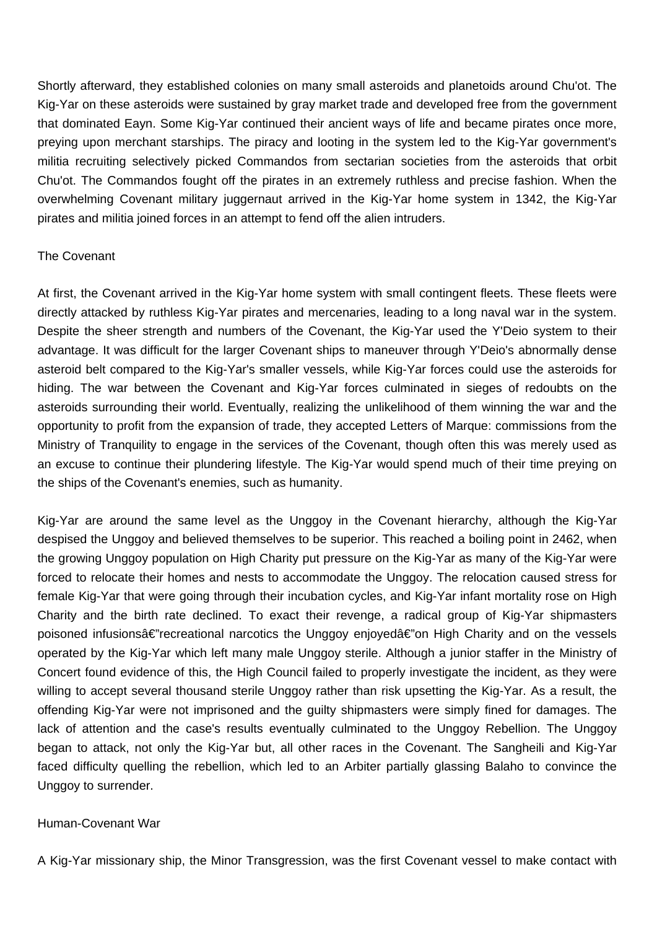Shortly afterward, they established colonies on many small asteroids and planetoids around Chu'ot. The Kig-Yar on these asteroids were sustained by gray market trade and developed free from the government that dominated Eayn. Some Kig-Yar continued their ancient ways of life and became pirates once more, preying upon merchant starships. The piracy and looting in the system led to the Kig-Yar government's militia recruiting selectively picked Commandos from sectarian societies from the asteroids that orbit Chu'ot. The Commandos fought off the pirates in an extremely ruthless and precise fashion. When the overwhelming Covenant military juggernaut arrived in the Kig-Yar home system in 1342, the Kig-Yar pirates and militia joined forces in an attempt to fend off the alien intruders.

## The Covenant

At first, the Covenant arrived in the Kig-Yar home system with small contingent fleets. These fleets were directly attacked by ruthless Kig-Yar pirates and mercenaries, leading to a long naval war in the system. Despite the sheer strength and numbers of the Covenant, the Kig-Yar used the Y'Deio system to their advantage. It was difficult for the larger Covenant ships to maneuver through Y'Deio's abnormally dense asteroid belt compared to the Kig-Yar's smaller vessels, while Kig-Yar forces could use the asteroids for hiding. The war between the Covenant and Kig-Yar forces culminated in sieges of redoubts on the asteroids surrounding their world. Eventually, realizing the unlikelihood of them winning the war and the opportunity to profit from the expansion of trade, they accepted Letters of Marque: commissions from the Ministry of Tranquility to engage in the services of the Covenant, though often this was merely used as an excuse to continue their plundering lifestyle. The Kig-Yar would spend much of their time preying on the ships of the Covenant's enemies, such as humanity.

Kig-Yar are around the same level as the Unggoy in the Covenant hierarchy, although the Kig-Yar despised the Unggoy and believed themselves to be superior. This reached a boiling point in 2462, when the growing Unggoy population on High Charity put pressure on the Kig-Yar as many of the Kig-Yar were forced to relocate their homes and nests to accommodate the Unggoy. The relocation caused stress for female Kig-Yar that were going through their incubation cycles, and Kig-Yar infant mortality rose on High Charity and the birth rate declined. To exact their revenge, a radical group of Kig-Yar shipmasters poisoned infusionsâ€"recreational narcotics the Unggoy enjoyedâ€"on High Charity and on the vessels operated by the Kig-Yar which left many male Unggoy sterile. Although a junior staffer in the Ministry of Concert found evidence of this, the High Council failed to properly investigate the incident, as they were willing to accept several thousand sterile Unggoy rather than risk upsetting the Kig-Yar. As a result, the offending Kig-Yar were not imprisoned and the guilty shipmasters were simply fined for damages. The lack of attention and the case's results eventually culminated to the Unggoy Rebellion. The Unggoy began to attack, not only the Kig-Yar but, all other races in the Covenant. The Sangheili and Kig-Yar faced difficulty quelling the rebellion, which led to an Arbiter partially glassing Balaho to convince the Unggoy to surrender.

## Human-Covenant War

A Kig-Yar missionary ship, the Minor Transgression, was the first Covenant vessel to make contact with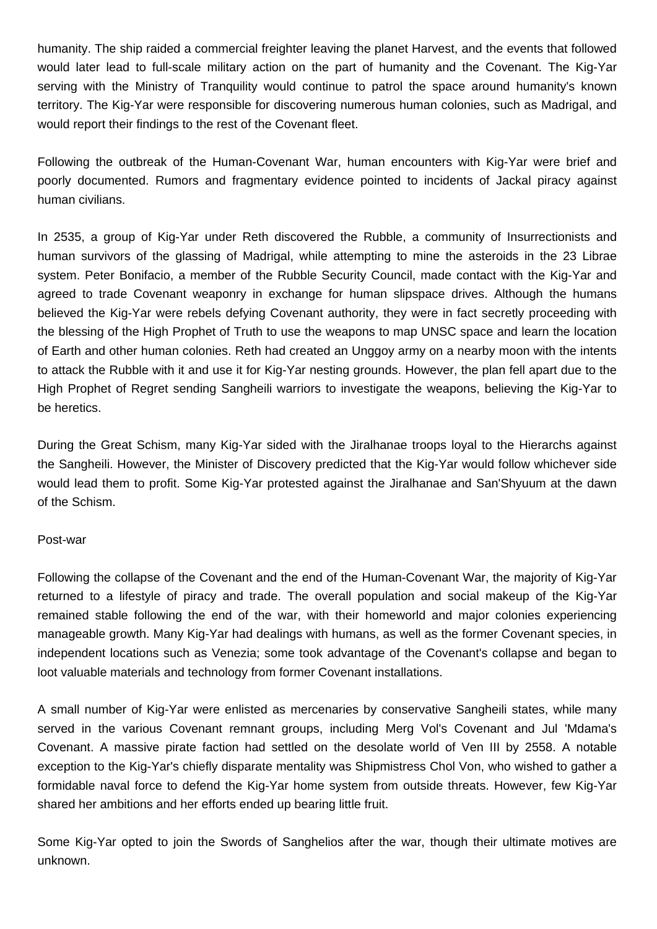humanity. The ship raided a commercial freighter leaving the planet Harvest, and the events that followed would later lead to full-scale military action on the part of humanity and the Covenant. The Kig-Yar serving with the Ministry of Tranquility would continue to patrol the space around humanity's known territory. The Kig-Yar were responsible for discovering numerous human colonies, such as Madrigal, and would report their findings to the rest of the Covenant fleet.

Following the outbreak of the Human-Covenant War, human encounters with Kig-Yar were brief and poorly documented. Rumors and fragmentary evidence pointed to incidents of Jackal piracy against human civilians.

In 2535, a group of Kig-Yar under Reth discovered the Rubble, a community of Insurrectionists and human survivors of the glassing of Madrigal, while attempting to mine the asteroids in the 23 Librae system. Peter Bonifacio, a member of the Rubble Security Council, made contact with the Kig-Yar and agreed to trade Covenant weaponry in exchange for human slipspace drives. Although the humans believed the Kig-Yar were rebels defying Covenant authority, they were in fact secretly proceeding with the blessing of the High Prophet of Truth to use the weapons to map UNSC space and learn the location of Earth and other human colonies. Reth had created an Unggoy army on a nearby moon with the intents to attack the Rubble with it and use it for Kig-Yar nesting grounds. However, the plan fell apart due to the High Prophet of Regret sending Sangheili warriors to investigate the weapons, believing the Kig-Yar to be heretics.

During the Great Schism, many Kig-Yar sided with the Jiralhanae troops loyal to the Hierarchs against the Sangheili. However, the Minister of Discovery predicted that the Kig-Yar would follow whichever side would lead them to profit. Some Kig-Yar protested against the Jiralhanae and San'Shyuum at the dawn of the Schism.

## Post-war

Following the collapse of the Covenant and the end of the Human-Covenant War, the majority of Kig-Yar returned to a lifestyle of piracy and trade. The overall population and social makeup of the Kig-Yar remained stable following the end of the war, with their homeworld and major colonies experiencing manageable growth. Many Kig-Yar had dealings with humans, as well as the former Covenant species, in independent locations such as Venezia; some took advantage of the Covenant's collapse and began to loot valuable materials and technology from former Covenant installations.

A small number of Kig-Yar were enlisted as mercenaries by conservative Sangheili states, while many served in the various Covenant remnant groups, including Merg Vol's Covenant and Jul 'Mdama's Covenant. A massive pirate faction had settled on the desolate world of Ven III by 2558. A notable exception to the Kig-Yar's chiefly disparate mentality was Shipmistress Chol Von, who wished to gather a formidable naval force to defend the Kig-Yar home system from outside threats. However, few Kig-Yar shared her ambitions and her efforts ended up bearing little fruit.

Some Kig-Yar opted to join the Swords of Sanghelios after the war, though their ultimate motives are unknown.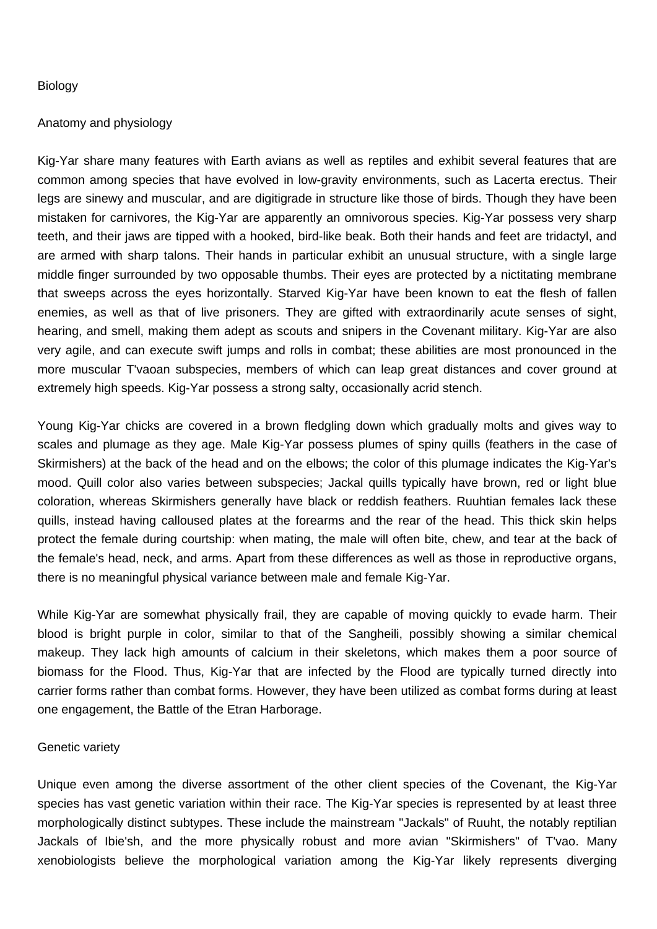## Biology

## Anatomy and physiology

Kig-Yar share many features with Earth avians as well as reptiles and exhibit several features that are common among species that have evolved in low-gravity environments, such as Lacerta erectus. Their legs are sinewy and muscular, and are digitigrade in structure like those of birds. Though they have been mistaken for carnivores, the Kig-Yar are apparently an omnivorous species. Kig-Yar possess very sharp teeth, and their jaws are tipped with a hooked, bird-like beak. Both their hands and feet are tridactyl, and are armed with sharp talons. Their hands in particular exhibit an unusual structure, with a single large middle finger surrounded by two opposable thumbs. Their eyes are protected by a nictitating membrane that sweeps across the eyes horizontally. Starved Kig-Yar have been known to eat the flesh of fallen enemies, as well as that of live prisoners. They are gifted with extraordinarily acute senses of sight, hearing, and smell, making them adept as scouts and snipers in the Covenant military. Kig-Yar are also very agile, and can execute swift jumps and rolls in combat; these abilities are most pronounced in the more muscular T'vaoan subspecies, members of which can leap great distances and cover ground at extremely high speeds. Kig-Yar possess a strong salty, occasionally acrid stench.

Young Kig-Yar chicks are covered in a brown fledgling down which gradually molts and gives way to scales and plumage as they age. Male Kig-Yar possess plumes of spiny quills (feathers in the case of Skirmishers) at the back of the head and on the elbows; the color of this plumage indicates the Kig-Yar's mood. Quill color also varies between subspecies; Jackal quills typically have brown, red or light blue coloration, whereas Skirmishers generally have black or reddish feathers. Ruuhtian females lack these quills, instead having calloused plates at the forearms and the rear of the head. This thick skin helps protect the female during courtship: when mating, the male will often bite, chew, and tear at the back of the female's head, neck, and arms. Apart from these differences as well as those in reproductive organs, there is no meaningful physical variance between male and female Kig-Yar.

While Kig-Yar are somewhat physically frail, they are capable of moving quickly to evade harm. Their blood is bright purple in color, similar to that of the Sangheili, possibly showing a similar chemical makeup. They lack high amounts of calcium in their skeletons, which makes them a poor source of biomass for the Flood. Thus, Kig-Yar that are infected by the Flood are typically turned directly into carrier forms rather than combat forms. However, they have been utilized as combat forms during at least one engagement, the Battle of the Etran Harborage.

## Genetic variety

Unique even among the diverse assortment of the other client species of the Covenant, the Kig-Yar species has vast genetic variation within their race. The Kig-Yar species is represented by at least three morphologically distinct subtypes. These include the mainstream "Jackals" of Ruuht, the notably reptilian Jackals of Ibie'sh, and the more physically robust and more avian "Skirmishers" of T'vao. Many xenobiologists believe the morphological variation among the Kig-Yar likely represents diverging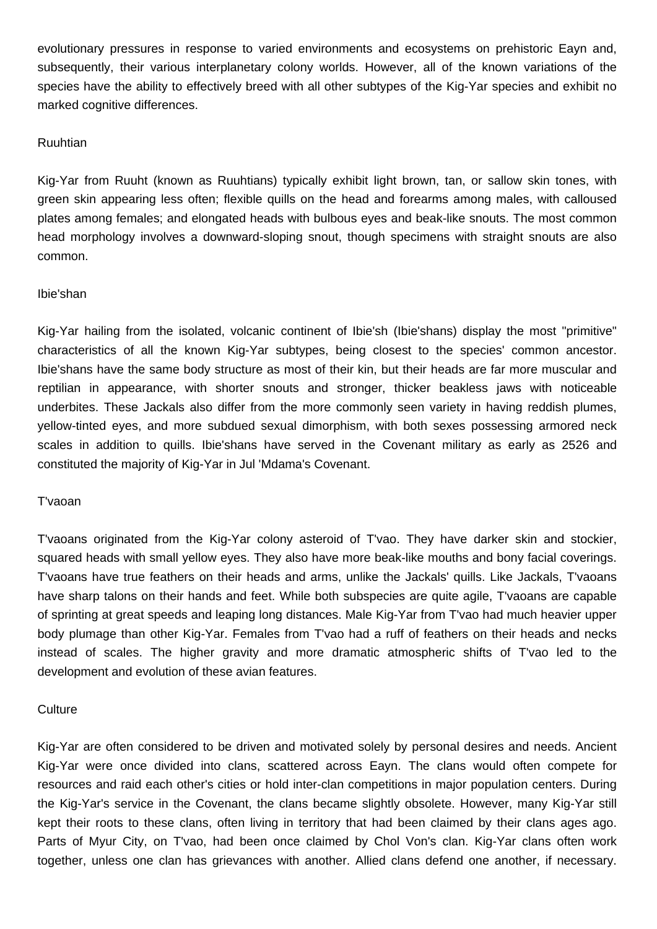evolutionary pressures in response to varied environments and ecosystems on prehistoric Eayn and, subsequently, their various interplanetary colony worlds. However, all of the known variations of the species have the ability to effectively breed with all other subtypes of the Kig-Yar species and exhibit no marked cognitive differences.

## Ruuhtian

Kig-Yar from Ruuht (known as Ruuhtians) typically exhibit light brown, tan, or sallow skin tones, with green skin appearing less often; flexible quills on the head and forearms among males, with calloused plates among females; and elongated heads with bulbous eyes and beak-like snouts. The most common head morphology involves a downward-sloping snout, though specimens with straight snouts are also common.

## Ibie'shan

Kig-Yar hailing from the isolated, volcanic continent of Ibie'sh (Ibie'shans) display the most "primitive" characteristics of all the known Kig-Yar subtypes, being closest to the species' common ancestor. Ibie'shans have the same body structure as most of their kin, but their heads are far more muscular and reptilian in appearance, with shorter snouts and stronger, thicker beakless jaws with noticeable underbites. These Jackals also differ from the more commonly seen variety in having reddish plumes, yellow-tinted eyes, and more subdued sexual dimorphism, with both sexes possessing armored neck scales in addition to quills. Ibie'shans have served in the Covenant military as early as 2526 and constituted the majority of Kig-Yar in Jul 'Mdama's Covenant.

# T'vaoan

T'vaoans originated from the Kig-Yar colony asteroid of T'vao. They have darker skin and stockier, squared heads with small yellow eyes. They also have more beak-like mouths and bony facial coverings. T'vaoans have true feathers on their heads and arms, unlike the Jackals' quills. Like Jackals, T'vaoans have sharp talons on their hands and feet. While both subspecies are quite agile, T'vaoans are capable of sprinting at great speeds and leaping long distances. Male Kig-Yar from T'vao had much heavier upper body plumage than other Kig-Yar. Females from T'vao had a ruff of feathers on their heads and necks instead of scales. The higher gravity and more dramatic atmospheric shifts of T'vao led to the development and evolution of these avian features.

# **Culture**

Kig-Yar are often considered to be driven and motivated solely by personal desires and needs. Ancient Kig-Yar were once divided into clans, scattered across Eayn. The clans would often compete for resources and raid each other's cities or hold inter-clan competitions in major population centers. During the Kig-Yar's service in the Covenant, the clans became slightly obsolete. However, many Kig-Yar still kept their roots to these clans, often living in territory that had been claimed by their clans ages ago. Parts of Myur City, on T'vao, had been once claimed by Chol Von's clan. Kig-Yar clans often work together, unless one clan has grievances with another. Allied clans defend one another, if necessary.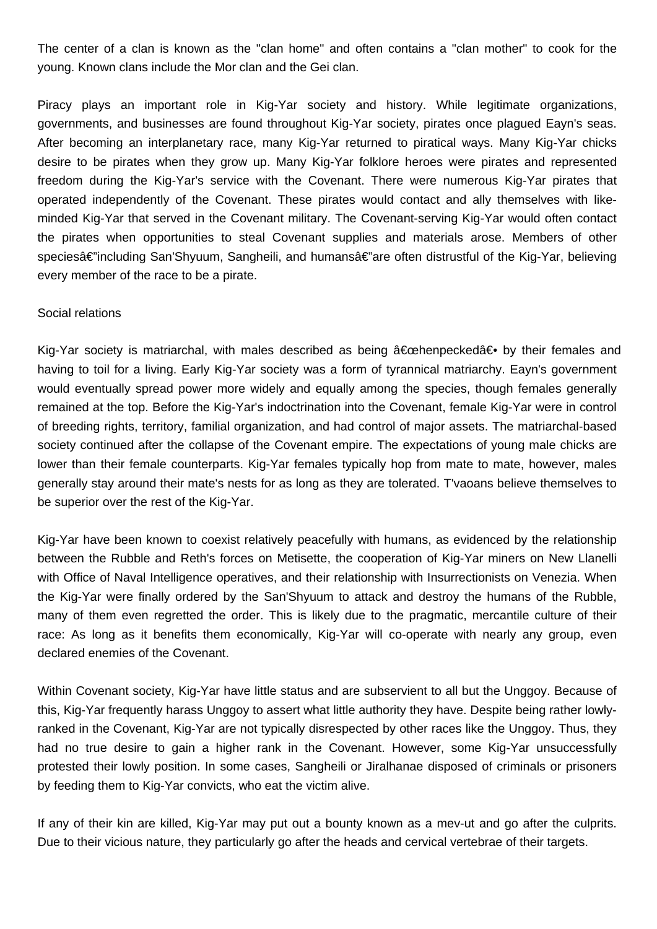The center of a clan is known as the "clan home" and often contains a "clan mother" to cook for the young. Known clans include the Mor clan and the Gei clan.

Piracy plays an important role in Kig-Yar society and history. While legitimate organizations, governments, and businesses are found throughout Kig-Yar society, pirates once plagued Eayn's seas. After becoming an interplanetary race, many Kig-Yar returned to piratical ways. Many Kig-Yar chicks desire to be pirates when they grow up. Many Kig-Yar folklore heroes were pirates and represented freedom during the Kig-Yar's service with the Covenant. There were numerous Kig-Yar pirates that operated independently of the Covenant. These pirates would contact and ally themselves with likeminded Kig-Yar that served in the Covenant military. The Covenant-serving Kig-Yar would often contact the pirates when opportunities to steal Covenant supplies and materials arose. Members of other speciesâ€"including San'Shyuum, Sangheili, and humansâ€"are often distrustful of the Kig-Yar, believing every member of the race to be a pirate.

## Social relations

Kig-Yar society is matriarchal, with males described as being  $\hat{a} \in \text{cehenpecked} \hat{a} \in \bullet$  by their females and having to toil for a living. Early Kig-Yar society was a form of tyrannical matriarchy. Eayn's government would eventually spread power more widely and equally among the species, though females generally remained at the top. Before the Kig-Yar's indoctrination into the Covenant, female Kig-Yar were in control of breeding rights, territory, familial organization, and had control of major assets. The matriarchal-based society continued after the collapse of the Covenant empire. The expectations of young male chicks are lower than their female counterparts. Kig-Yar females typically hop from mate to mate, however, males generally stay around their mate's nests for as long as they are tolerated. T'vaoans believe themselves to be superior over the rest of the Kig-Yar.

Kig-Yar have been known to coexist relatively peacefully with humans, as evidenced by the relationship between the Rubble and Reth's forces on Metisette, the cooperation of Kig-Yar miners on New Llanelli with Office of Naval Intelligence operatives, and their relationship with Insurrectionists on Venezia. When the Kig-Yar were finally ordered by the San'Shyuum to attack and destroy the humans of the Rubble, many of them even regretted the order. This is likely due to the pragmatic, mercantile culture of their race: As long as it benefits them economically, Kig-Yar will co-operate with nearly any group, even declared enemies of the Covenant.

Within Covenant society, Kig-Yar have little status and are subservient to all but the Unggoy. Because of this, Kig-Yar frequently harass Unggoy to assert what little authority they have. Despite being rather lowlyranked in the Covenant, Kig-Yar are not typically disrespected by other races like the Unggoy. Thus, they had no true desire to gain a higher rank in the Covenant. However, some Kig-Yar unsuccessfully protested their lowly position. In some cases, Sangheili or Jiralhanae disposed of criminals or prisoners by feeding them to Kig-Yar convicts, who eat the victim alive.

If any of their kin are killed, Kig-Yar may put out a bounty known as a mev-ut and go after the culprits. Due to their vicious nature, they particularly go after the heads and cervical vertebrae of their targets.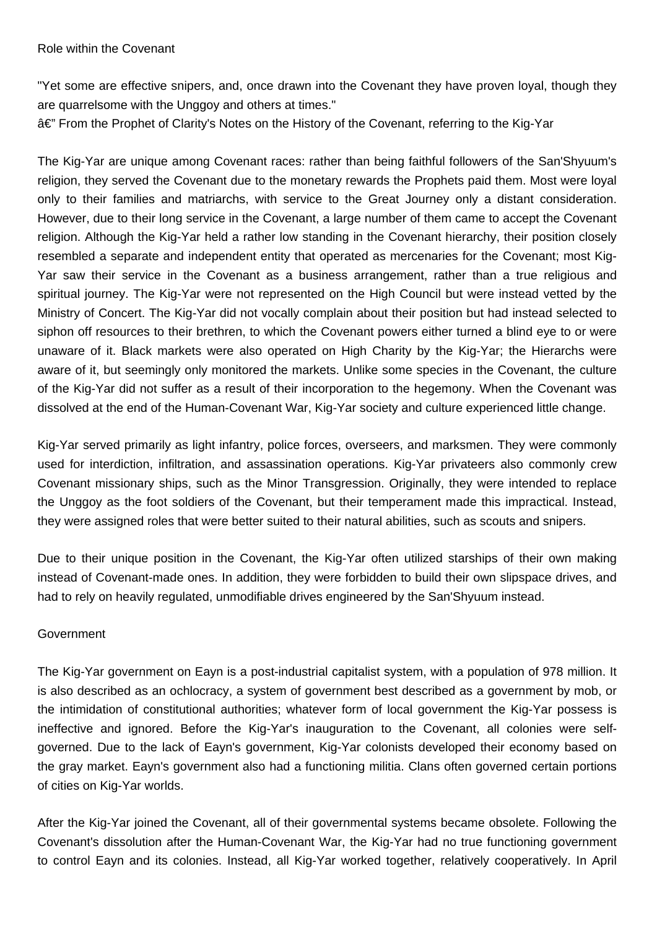"Yet some are effective snipers, and, once drawn into the Covenant they have proven loyal, though they are quarrelsome with the Unggoy and others at times."

â€" From the Prophet of Clarity's Notes on the History of the Covenant, referring to the Kig-Yar

The Kig-Yar are unique among Covenant races: rather than being faithful followers of the San'Shyuum's religion, they served the Covenant due to the monetary rewards the Prophets paid them. Most were loyal only to their families and matriarchs, with service to the Great Journey only a distant consideration. However, due to their long service in the Covenant, a large number of them came to accept the Covenant religion. Although the Kig-Yar held a rather low standing in the Covenant hierarchy, their position closely resembled a separate and independent entity that operated as mercenaries for the Covenant; most Kig-Yar saw their service in the Covenant as a business arrangement, rather than a true religious and spiritual journey. The Kig-Yar were not represented on the High Council but were instead vetted by the Ministry of Concert. The Kig-Yar did not vocally complain about their position but had instead selected to siphon off resources to their brethren, to which the Covenant powers either turned a blind eye to or were unaware of it. Black markets were also operated on High Charity by the Kig-Yar; the Hierarchs were aware of it, but seemingly only monitored the markets. Unlike some species in the Covenant, the culture of the Kig-Yar did not suffer as a result of their incorporation to the hegemony. When the Covenant was dissolved at the end of the Human-Covenant War, Kig-Yar society and culture experienced little change.

Kig-Yar served primarily as light infantry, police forces, overseers, and marksmen. They were commonly used for interdiction, infiltration, and assassination operations. Kig-Yar privateers also commonly crew Covenant missionary ships, such as the Minor Transgression. Originally, they were intended to replace the Unggoy as the foot soldiers of the Covenant, but their temperament made this impractical. Instead, they were assigned roles that were better suited to their natural abilities, such as scouts and snipers.

Due to their unique position in the Covenant, the Kig-Yar often utilized starships of their own making instead of Covenant-made ones. In addition, they were forbidden to build their own slipspace drives, and had to rely on heavily regulated, unmodifiable drives engineered by the San'Shyuum instead.

# **Government**

The Kig-Yar government on Eayn is a post-industrial capitalist system, with a population of 978 million. It is also described as an ochlocracy, a system of government best described as a government by mob, or the intimidation of constitutional authorities; whatever form of local government the Kig-Yar possess is ineffective and ignored. Before the Kig-Yar's inauguration to the Covenant, all colonies were selfgoverned. Due to the lack of Eayn's government, Kig-Yar colonists developed their economy based on the gray market. Eayn's government also had a functioning militia. Clans often governed certain portions of cities on Kig-Yar worlds.

After the Kig-Yar joined the Covenant, all of their governmental systems became obsolete. Following the Covenant's dissolution after the Human-Covenant War, the Kig-Yar had no true functioning government to control Eayn and its colonies. Instead, all Kig-Yar worked together, relatively cooperatively. In April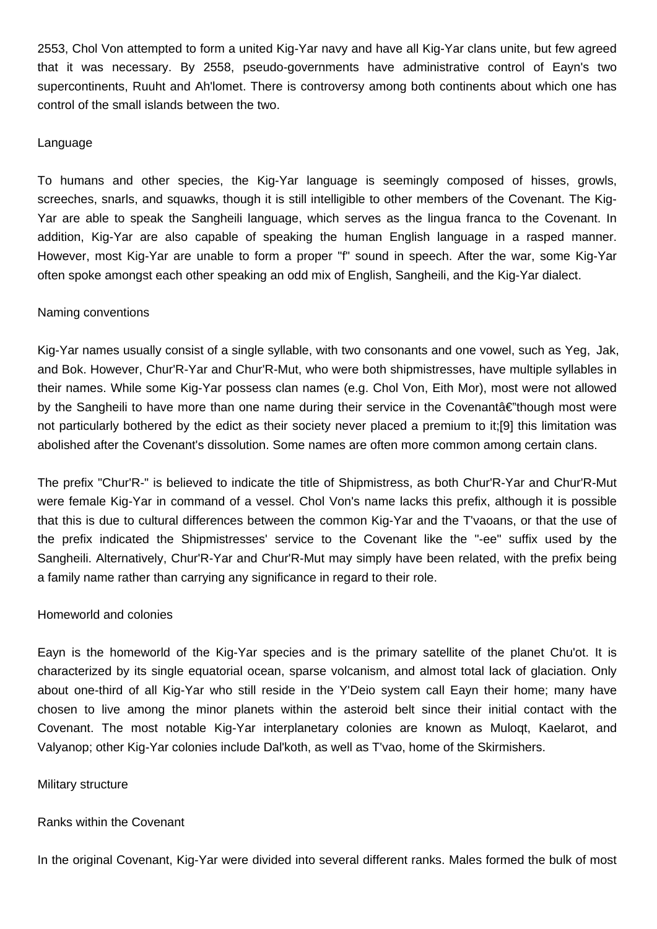2553, Chol Von attempted to form a united Kig-Yar navy and have all Kig-Yar clans unite, but few agreed that it was necessary. By 2558, pseudo-governments have administrative control of Eayn's two supercontinents, Ruuht and Ah'lomet. There is controversy among both continents about which one has control of the small islands between the two.

## Language

To humans and other species, the Kig-Yar language is seemingly composed of hisses, growls, screeches, snarls, and squawks, though it is still intelligible to other members of the Covenant. The Kig-Yar are able to speak the Sangheili language, which serves as the lingua franca to the Covenant. In addition, Kig-Yar are also capable of speaking the human English language in a rasped manner. However, most Kig-Yar are unable to form a proper "f" sound in speech. After the war, some Kig-Yar often spoke amongst each other speaking an odd mix of English, Sangheili, and the Kig-Yar dialect.

#### Naming conventions

Kig-Yar names usually consist of a single syllable, with two consonants and one vowel, such as Yeg, Jak, and Bok. However, Chur'R-Yar and Chur'R-Mut, who were both shipmistresses, have multiple syllables in their names. While some Kig-Yar possess clan names (e.g. Chol Von, Eith Mor), most were not allowed by the Sangheili to have more than one name during their service in the Covenant  $\hat{\epsilon}$  though most were not particularly bothered by the edict as their society never placed a premium to it;[9] this limitation was abolished after the Covenant's dissolution. Some names are often more common among certain clans.

The prefix "Chur'R-" is believed to indicate the title of Shipmistress, as both Chur'R-Yar and Chur'R-Mut were female Kig-Yar in command of a vessel. Chol Von's name lacks this prefix, although it is possible that this is due to cultural differences between the common Kig-Yar and the T'vaoans, or that the use of the prefix indicated the Shipmistresses' service to the Covenant like the "-ee" suffix used by the Sangheili. Alternatively, Chur'R-Yar and Chur'R-Mut may simply have been related, with the prefix being a family name rather than carrying any significance in regard to their role.

## Homeworld and colonies

Eayn is the homeworld of the Kig-Yar species and is the primary satellite of the planet Chu'ot. It is characterized by its single equatorial ocean, sparse volcanism, and almost total lack of glaciation. Only about one-third of all Kig-Yar who still reside in the Y'Deio system call Eayn their home; many have chosen to live among the minor planets within the asteroid belt since their initial contact with the Covenant. The most notable Kig-Yar interplanetary colonies are known as Muloqt, Kaelarot, and Valyanop; other Kig-Yar colonies include Dal'koth, as well as T'vao, home of the Skirmishers.

#### Military structure

#### Ranks within the Covenant

In the original Covenant, Kig-Yar were divided into several different ranks. Males formed the bulk of most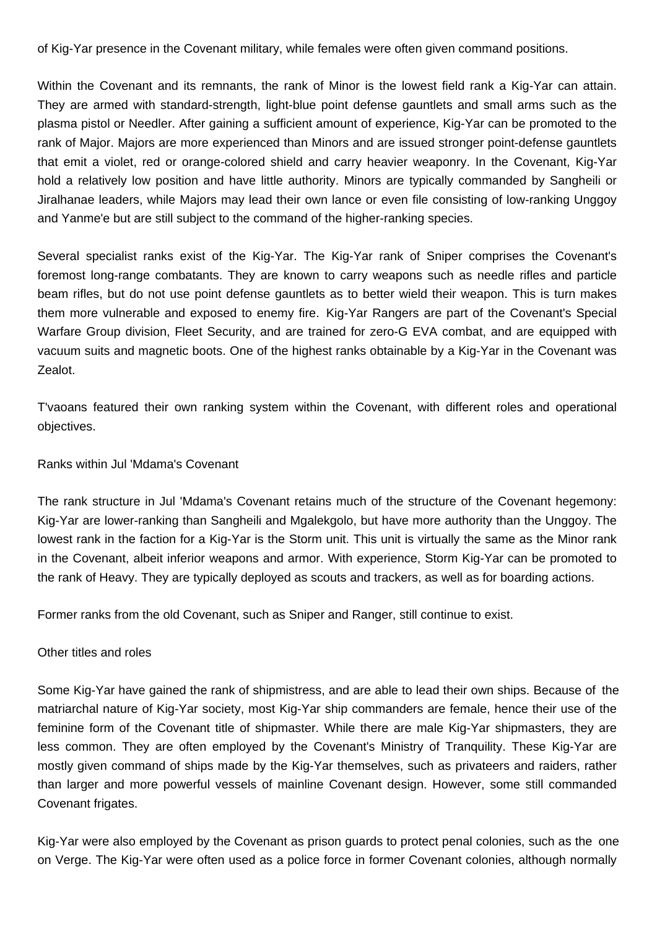of Kig-Yar presence in the Covenant military, while females were often given command positions.

Within the Covenant and its remnants, the rank of Minor is the lowest field rank a Kig-Yar can attain. They are armed with standard-strength, light-blue point defense gauntlets and small arms such as the plasma pistol or Needler. After gaining a sufficient amount of experience, Kig-Yar can be promoted to the rank of Major. Majors are more experienced than Minors and are issued stronger point-defense gauntlets that emit a violet, red or orange-colored shield and carry heavier weaponry. In the Covenant, Kig-Yar hold a relatively low position and have little authority. Minors are typically commanded by Sangheili or Jiralhanae leaders, while Majors may lead their own lance or even file consisting of low-ranking Unggoy and Yanme'e but are still subject to the command of the higher-ranking species.

Several specialist ranks exist of the Kig-Yar. The Kig-Yar rank of Sniper comprises the Covenant's foremost long-range combatants. They are known to carry weapons such as needle rifles and particle beam rifles, but do not use point defense gauntlets as to better wield their weapon. This is turn makes them more vulnerable and exposed to enemy fire. Kig-Yar Rangers are part of the Covenant's Special Warfare Group division, Fleet Security, and are trained for zero-G EVA combat, and are equipped with vacuum suits and magnetic boots. One of the highest ranks obtainable by a Kig-Yar in the Covenant was Zealot.

T'vaoans featured their own ranking system within the Covenant, with different roles and operational objectives.

## Ranks within Jul 'Mdama's Covenant

The rank structure in Jul 'Mdama's Covenant retains much of the structure of the Covenant hegemony: Kig-Yar are lower-ranking than Sangheili and Mgalekgolo, but have more authority than the Unggoy. The lowest rank in the faction for a Kig-Yar is the Storm unit. This unit is virtually the same as the Minor rank in the Covenant, albeit inferior weapons and armor. With experience, Storm Kig-Yar can be promoted to the rank of Heavy. They are typically deployed as scouts and trackers, as well as for boarding actions.

Former ranks from the old Covenant, such as Sniper and Ranger, still continue to exist.

## Other titles and roles

Some Kig-Yar have gained the rank of shipmistress, and are able to lead their own ships. Because of the matriarchal nature of Kig-Yar society, most Kig-Yar ship commanders are female, hence their use of the feminine form of the Covenant title of shipmaster. While there are male Kig-Yar shipmasters, they are less common. They are often employed by the Covenant's Ministry of Tranquility. These Kig-Yar are mostly given command of ships made by the Kig-Yar themselves, such as privateers and raiders, rather than larger and more powerful vessels of mainline Covenant design. However, some still commanded Covenant frigates.

Kig-Yar were also employed by the Covenant as prison guards to protect penal colonies, such as the one on Verge. The Kig-Yar were often used as a police force in former Covenant colonies, although normally